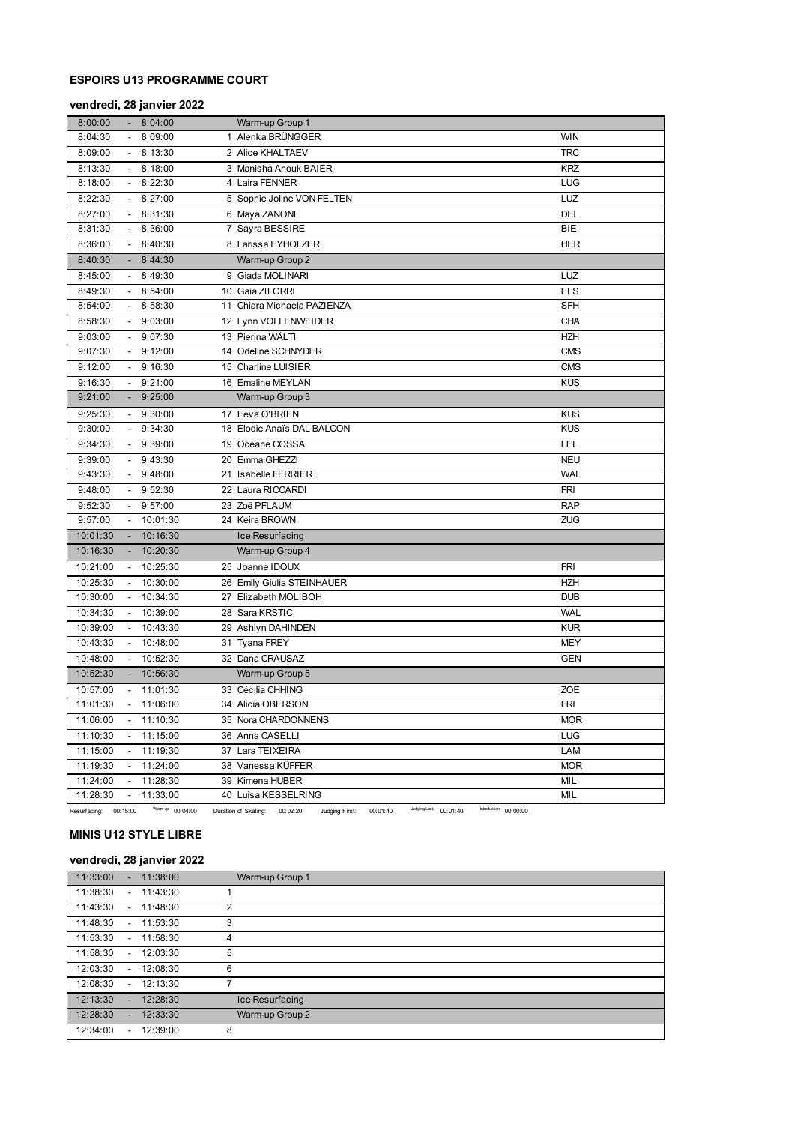# **ESPOIRS U13 PROGRAMME COURT**

# **vendredi, 28 janvier 2022**

| 8:00:00  |                | 8:04:00  | Warm-up Group 1             |            |
|----------|----------------|----------|-----------------------------|------------|
| 8:04:30  |                | 8:09:00  | 1 Alenka BRÜNGGER           | <b>WIN</b> |
| 8:09:00  | $\sim$         | 8:13:30  | 2 Alice KHALTAEV            | TRC        |
| 8:13:30  |                | 8:18:00  | 3 Manisha Anouk BAIER       | <b>KRZ</b> |
| 8:18:00  |                | 8:22:30  | 4 Laira FENNER              | LUG        |
| 8:22:30  | $\sim$         | 8:27:00  | 5 Sophie Joline VON FELTEN  | LUZ        |
| 8:27:00  |                | 8:31:30  | 6 Maya ZANONI               | <b>DEL</b> |
| 8:31:30  | $\sim$         | 8:36:00  | 7 Sayra BESSIRE             | <b>BIE</b> |
| 8:36:00  |                | 8:40:30  | 8 Larissa EYHOLZER          | <b>HER</b> |
| 8:40:30  |                | 8:44:30  | Warm-up Group 2             |            |
| 8:45:00  |                | 8:49:30  | 9 Giada MOLINARI            | LUZ        |
| 8:49:30  |                | 8:54:00  | 10 Gaia ZILORRI             | <b>ELS</b> |
| 8:54:00  |                | 8:58:30  | 11 Chiara Michaela PAZIENZA | <b>SFH</b> |
| 8:58:30  | $\sim$         | 9:03:00  | 12 Lynn VOLLENWEIDER        | CHA        |
| 9:03:00  |                | 9:07:30  | 13 Pierina WÄLTI            | <b>HZH</b> |
| 9:07:30  |                | 9:12:00  | 14 Odeline SCHNYDER         | <b>CMS</b> |
| 9:12:00  | $\sim$         | 9:16:30  | 15 Charline LUISIER         | <b>CMS</b> |
| 9:16:30  |                | 9:21:00  | 16 Emaline MEYLAN           | <b>KUS</b> |
| 9:21:00  |                | 9:25:00  | Warm-up Group 3             |            |
| 9:25:30  | $\sim$         | 9:30:00  | 17 Eeva O'BRIEN             | <b>KUS</b> |
| 9:30:00  |                | 9:34:30  | 18 Elodie Anaïs DAL BALCON  | <b>KUS</b> |
| 9:34:30  |                | 9:39:00  | 19 Océane COSSA             | LEL        |
| 9:39:00  | $\sim$         | 9:43:30  | 20 Emma GHEZZI              | <b>NEU</b> |
| 9:43:30  |                | 9:48:00  | 21 Isabelle FERRIER         | <b>WAL</b> |
| 9:48:00  |                | 9:52:30  | 22 Laura RICCARDI           | <b>FRI</b> |
| 9:52:30  | $\sim$         | 9:57:00  | 23 Zoë PFLAUM               | <b>RAP</b> |
| 9:57:00  |                | 10:01:30 | 24 Keira BROWN              | ZUG        |
| 10:01:30 |                | 10:16:30 | Ice Resurfacing             |            |
| 10:16:30 |                | 10:20:30 | Warm-up Group 4             |            |
| 10:21:00 |                | 10:25:30 | 25 Joanne IDOUX             | <b>FRI</b> |
| 10:25:30 |                | 10:30:00 | 26 Emily Giulia STEINHAUER  | <b>HZH</b> |
| 10:30:00 | $\blacksquare$ | 10:34:30 | 27 Elizabeth MOLIBOH        | <b>DUB</b> |
| 10:34:30 |                | 10:39:00 | 28 Sara KRSTIC              | <b>WAL</b> |
| 10:39:00 |                | 10:43:30 | 29 Ashlyn DAHINDEN          | <b>KUR</b> |
| 10:43:30 |                | 10:48:00 | 31 Tyana FREY               | <b>MEY</b> |
| 10:48:00 |                | 10:52:30 | 32 Dana CRAUSAZ             | <b>GEN</b> |
| 10:52:30 |                | 10:56:30 | Warm-up Group 5             |            |
| 10:57:00 |                | 11:01:30 | 33 Cécilia CHHING           | ZOE        |
| 11:01:30 |                | 11:06:00 | 34 Alicia OBERSON           | <b>FRI</b> |
| 11:06:00 |                | 11:10:30 | 35 Nora CHARDONNENS         | <b>MOR</b> |
| 11:10:30 |                | 11:15:00 | 36 Anna CASELLI             | LUG        |
| 11:15:00 |                | 11:19:30 | 37 Lara TEIXEIRA            | LAM        |
| 11:19:30 | $\sim$         | 11:24:00 | 38 Vanessa KÜFFER           | <b>MOR</b> |
| 11:24:00 |                | 11:28:30 | 39 Kimena HUBER             | MIL        |
| 11:28:30 |                | 11:33:00 | 40 Luisa KESSELRING         | MIL        |

Resurfacing: 00:15:00 Warm-up: 00:04:00 Duration of Skating: 00:02:20 Judging First: 00:01:40 Judging Last: 00:01:40 Introduction: 00:00:00

# **MINIS U12 STYLE LIBRE**

# **vendredi, 28 janvier 2022**

| 11:33:00 | ÷.                       | 11:38:00    | Warm-up Group 1 |
|----------|--------------------------|-------------|-----------------|
| 11:38:30 | $\overline{\phantom{0}}$ | 11:43:30    |                 |
| 11:43:30 |                          | $-11:48:30$ | $\overline{2}$  |
| 11:48:30 | $\overline{\phantom{0}}$ | 11:53:30    | 3               |
| 11:53:30 | $\sim$                   | 11:58:30    | 4               |
| 11:58:30 | $\overline{\phantom{a}}$ | 12:03:30    | 5               |
| 12:03:30 | $\overline{\phantom{0}}$ | 12:08:30    | 6               |
| 12:08:30 | $\overline{\phantom{0}}$ | 12:13:30    | 7               |
| 12:13:30 |                          | 12:28:30    | Ice Resurfacing |
| 12:28:30 | ÷.                       | 12:33:30    | Warm-up Group 2 |
| 12:34:00 | $\overline{\phantom{0}}$ | 12:39:00    | 8               |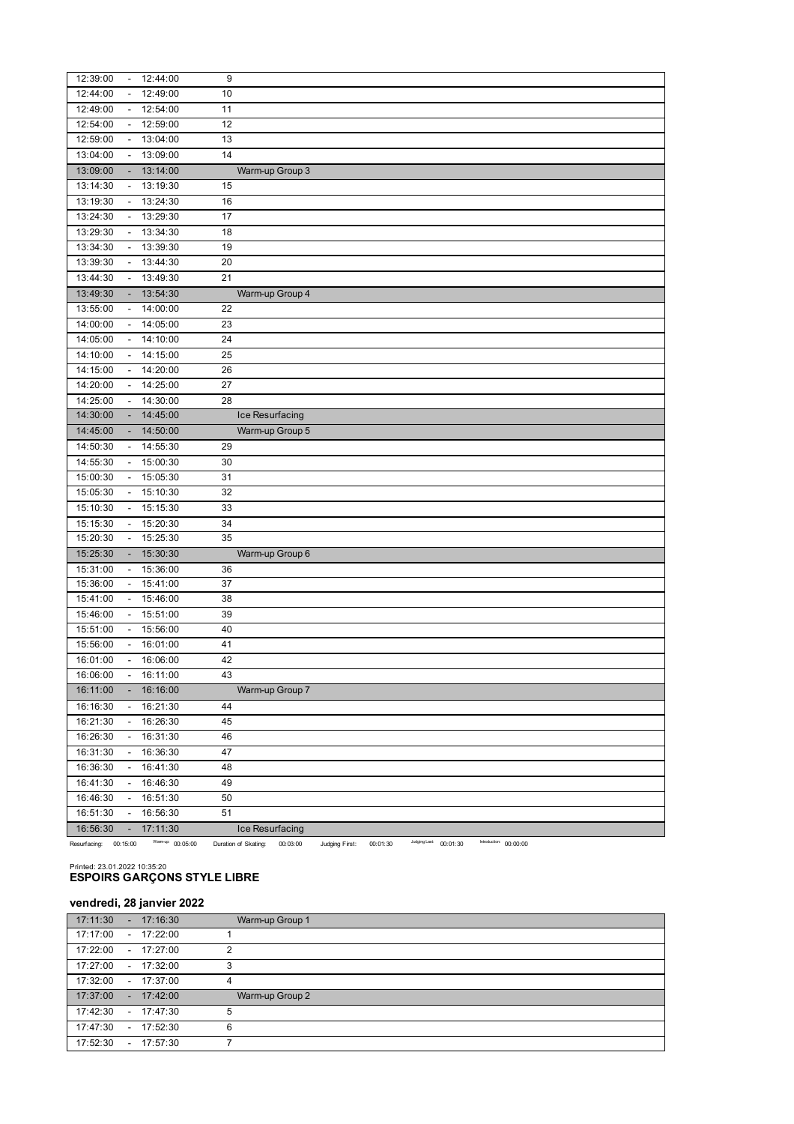| 12:39:00 |                           | 12:44:00     | 9  |                                |
|----------|---------------------------|--------------|----|--------------------------------|
| 12:44:00 |                           | 12:49:00     | 10 |                                |
| 12:49:00 |                           | 12:54:00     | 11 |                                |
| 12:54:00 |                           | 12:59:00     | 12 |                                |
| 12:59:00 | $\frac{1}{2}$             | 13:04:00     | 13 |                                |
| 13:04:00 | $\Box$                    | 13:09:00     | 14 |                                |
| 13:09:00 | ÷                         | 13:14:00     |    | Warm-up Group 3                |
| 13:14:30 | $\overline{\phantom{a}}$  | 13:19:30     | 15 |                                |
| 13:19:30 | $\blacksquare$            | 13:24:30     | 16 |                                |
| 13:24:30 | $\sim$                    | 13:29:30     | 17 |                                |
| 13:29:30 | $\overline{\phantom{a}}$  | 13:34:30     | 18 |                                |
| 13:34:30 | $\overline{\phantom{a}}$  | 13:39:30     | 19 |                                |
| 13:39:30 | $\overline{\phantom{a}}$  | 13:44:30     | 20 |                                |
| 13:44:30 | $\overline{\phantom{a}}$  | 13:49:30     | 21 |                                |
| 13:49:30 |                           | 13:54:30     |    | Warm-up Group 4                |
| 13:55:00 | $\overline{\phantom{a}}$  | 14:00:00     | 22 |                                |
| 14:00:00 | $\overline{\phantom{a}}$  | 14:05:00     | 23 |                                |
| 14:05:00 | $\overline{\phantom{a}}$  | 14:10:00     | 24 |                                |
| 14:10:00 | $\blacksquare$            | 14:15:00     | 25 |                                |
| 14:15:00 | $\sim$                    | 14:20:00     | 26 |                                |
| 14:20:00 |                           | $-14:25:00$  | 27 |                                |
| 14:25:00 |                           | 14:30:00     | 28 |                                |
| 14:30:00 |                           | 14:45:00     |    | Ice Resurfacing                |
| 14:45:00 |                           | 14:50:00     |    | Warm-up Group 5                |
| 14:50:30 |                           | 14:55:30     | 29 |                                |
| 14:55:30 | $\blacksquare$            | 15:00:30     | 30 |                                |
| 15:00:30 | $\sim$                    | 15:05:30     | 31 |                                |
| 15:05:30 | $\mathbb{Z}^{\mathbb{Z}}$ | 15:10:30     | 32 |                                |
| 15:10:30 | $\overline{\phantom{a}}$  | 15:15:30     | 33 |                                |
| 15:15:30 | $\overline{\phantom{a}}$  | 15:20:30     | 34 |                                |
| 15:20:30 | $\overline{\phantom{a}}$  | 15:25:30     | 35 |                                |
| 15:25:30 |                           | 15:30:30     |    | Warm-up Group 6                |
| 15:31:00 | $\overline{\phantom{a}}$  | 15:36:00     | 36 |                                |
| 15:36:00 | $\overline{\phantom{a}}$  | 15:41:00     | 37 |                                |
| 15:41:00 | $\overline{\phantom{a}}$  | 15:46:00     | 38 |                                |
| 15:46:00 |                           | 15:51:00     | 39 |                                |
| 15:51:00 |                           | 15:56:00     | 40 |                                |
| 15:56:00 | $\overline{\phantom{a}}$  | 16:01:00     | 41 |                                |
| 16:01:00 | $\overline{\phantom{a}}$  | 16:06:00     | 42 |                                |
| 16:06:00 | $\overline{\phantom{a}}$  | 16:11:00     | 43 |                                |
| 16:11:00 |                           | 16:16:00     |    | Warm-up Group 7                |
| 16:16:30 | $\overline{\phantom{a}}$  | 16:21:30     | 44 |                                |
| 16:21:30 | $\sim$                    | 16:26:30     | 45 |                                |
| 16:26:30 | $\blacksquare$            | 16:31:30     | 46 |                                |
| 16:31:30 | $\overline{\phantom{a}}$  | 16:36:30     | 47 |                                |
| 16:36:30 | $\overline{\phantom{a}}$  | 16:41:30     | 48 |                                |
| 16:41:30 |                           | 16:46:30     | 49 |                                |
| 16:46:30 |                           | 16:51:30     | 50 |                                |
| 16:51:30 |                           | 16:56:30     | 51 |                                |
| 16:56:30 | $\blacksquare$            | 17:11:30     |    | Ice Resurfacing                |
|          |                           | Warmup: 00.0 |    | Judging Last:<br>Introduction: |

Resurfacing: 00:15:00 Warm-up: 00:05:00 Duration of Skating: 00:03:00 Judging First: 00:01:30 <sup>Judging Last</sup>: 00:01:30 Introduction: 00:00:00

# Printed: 23.01.2022 10:35:20 **ESPOIRS GARÇONS STYLE LIBRE**

# **vendredi, 28 janvier 2022**

| 17:11:30<br>$-17:16:30$ | Warm-up Group 1 |  |
|-------------------------|-----------------|--|
| 17:17:00<br>$-17:22:00$ |                 |  |
| 17:22:00<br>$-17:27:00$ | $\mathcal{P}$   |  |
| 17:27:00<br>$-17:32:00$ | 3               |  |
| 17:32:00<br>$-17:37:00$ | 4               |  |
| 17:37:00<br>$-17:42:00$ | Warm-up Group 2 |  |
| 17:42:30<br>$-17:47:30$ | 5               |  |
| 17:47:30<br>$-17:52:30$ | 6               |  |
| 17:52:30<br>$-17:57:30$ |                 |  |